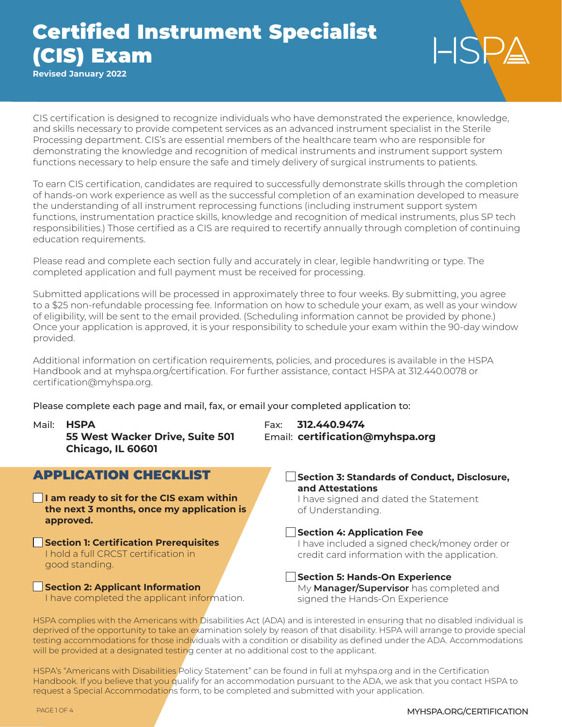**Revised January 2022**

CIS certification is designed to recognize individuals who have demonstrated the experience, knowledge, and skills necessary to provide competent services as an advanced instrument specialist in the Sterile Processing department. CIS's are essential members of the healthcare team who are responsible for demonstrating the knowledge and recognition of medical instruments and instrument support system functions necessary to help ensure the safe and timely delivery of surgical instruments to patients.

To earn CIS certification, candidates are required to successfully demonstrate skills through the completion of hands-on work experience as well as the successful completion of an examination developed to measure the understanding of all instrument reprocessing functions (including instrument support system functions, instrumentation practice skills, knowledge and recognition of medical instruments, plus SP tech responsibilities.) Those certified as a CIS are required to recertify annually through completion of continuing education requirements.

Please read and complete each section fully and accurately in clear, legible handwriting or type. The completed application and full payment must be received for processing.

Submitted applications will be processed in approximately three to four weeks. By submitting, you agree to a \$25 non-refundable processing fee. Information on how to schedule your exam, as well as your window of eligibility, will be sent to the email provided. (Scheduling information cannot be provided by phone.) Once your application is approved, it is your responsibility to schedule your exam within the 90-day window provided.

Additional information on certification requirements, policies, and procedures is available in the HSPA Handbook and at myhspa.org/certification. For further assistance, contact HSPA at 312.440.0078 or certification@myhspa.org.

Please complete each page and mail, fax, or email your completed application to:

**Chicago, IL 60601**

## APPLICATION CHECKLIST

**I am ready to sit for the CIS exam within the next 3 months, once my application is approved.**

**Section 1: Certification Prerequisites** I hold a full CRCST certification in good standing.

**Section 2: Applicant Information** I have completed the applicant information.

Mail: **HSPA** Fax: **312.440.9474 55 West Wacker Drive, Suite 501** Email: **certification@myhspa.org**

> **Section 3: Standards of Conduct, Disclosure, and Attestations**

I have signed and dated the Statement of Understanding.

### **Section 4: Application Fee**

I have included a signed check/money order or credit card information with the application.

**Section 5: Hands-On Experience** My **Manager/Supervisor** has completed and signed the Hands-On Experience

HSPA complies with the Americans with Disabilities Act (ADA) and is interested in ensuring that no disabled individual is deprived of the opportunity to take an examination solely by reason of that disability. HSPA will arrange to provide special testing accommodations for those individuals with a condition or disability as defined under the ADA. Accommodations will be provided at a designated testing center at no additional cost to the applicant.

HSPA's "Americans with Disabilities Policy Statement" can be found in full at myhspa.org and in the Certification Handbook. If you believe that you qualify for an accommodation pursuant to the ADA, we ask that you contact HSPA to request a Special Accommodations form, to be completed and submitted with your application.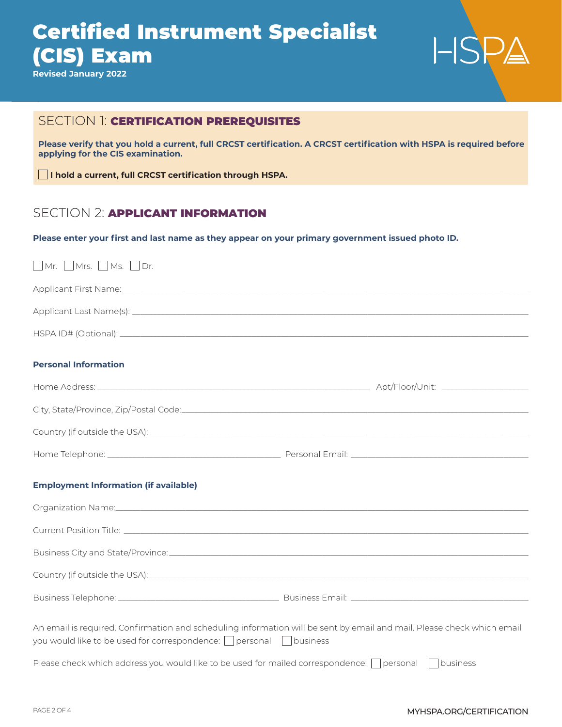**Revised January 2022**



## SECTION 1: CERTIFICATION PREREQUISITES

**Please verify that you hold a current, full CRCST certification. A CRCST certification with HSPA is required before applying for the CIS examination.**

**I hold a current, full CRCST certification through HSPA.**

### SECTION 2: **APPLICANT INFORMATION**

**Please enter your first and last name as they appear on your primary government issued photo ID.**

| $\Box$ Mr. $\Box$ Mrs. $\Box$ Ms. $\Box$ Dr.                                                                                                                                                            |  |
|---------------------------------------------------------------------------------------------------------------------------------------------------------------------------------------------------------|--|
|                                                                                                                                                                                                         |  |
|                                                                                                                                                                                                         |  |
|                                                                                                                                                                                                         |  |
| <b>Personal Information</b>                                                                                                                                                                             |  |
|                                                                                                                                                                                                         |  |
|                                                                                                                                                                                                         |  |
|                                                                                                                                                                                                         |  |
|                                                                                                                                                                                                         |  |
| <b>Employment Information (if available)</b>                                                                                                                                                            |  |
| Organization Name: experience and a structure of the contract of the contract of the contract of the contract of                                                                                        |  |
|                                                                                                                                                                                                         |  |
|                                                                                                                                                                                                         |  |
|                                                                                                                                                                                                         |  |
|                                                                                                                                                                                                         |  |
| An email is required. Confirmation and scheduling information will be sent by email and mail. Please check which email<br>you would like to be used for correspondence: $\Box$ personal $\Box$ business |  |
| Please check which address you would like to be used for mailed correspondence: $\Box$ personal $\Box$ business                                                                                         |  |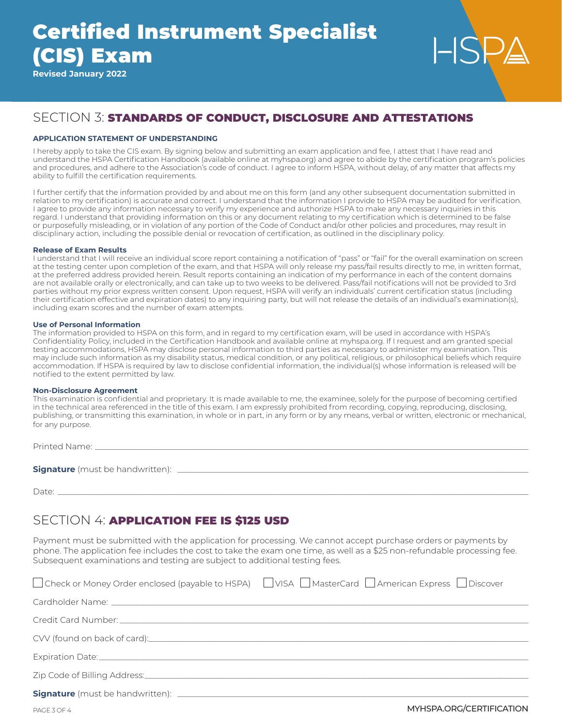**Revised January 2022**

## SECTION 3: STANDARDS OF CONDUCT, DISCLOSURE AND ATTESTATIONS

#### **APPLICATION STATEMENT OF UNDERSTANDING**

I hereby apply to take the CIS exam. By signing below and submitting an exam application and fee, I attest that I have read and understand the HSPA Certification Handbook (available online at myhspa.org) and agree to abide by the certification program's policies and procedures, and adhere to the Association's code of conduct. I agree to inform HSPA, without delay, of any matter that affects my ability to fulfill the certification requirements.

I further certify that the information provided by and about me on this form (and any other subsequent documentation submitted in relation to my certification) is accurate and correct. I understand that the information I provide to HSPA may be audited for verification. I agree to provide any information necessary to verify my experience and authorize HSPA to make any necessary inquiries in this regard. I understand that providing information on this or any document relating to my certification which is determined to be false or purposefully misleading, or in violation of any portion of the Code of Conduct and/or other policies and procedures, may result in disciplinary action, including the possible denial or revocation of certification, as outlined in the disciplinary policy.

#### **Release of Exam Results**

I understand that I will receive an individual score report containing a notification of "pass" or "fail" for the overall examination on screen at the testing center upon completion of the exam, and that HSPA will only release my pass/fail results directly to me, in written format, at the preferred address provided herein. Result reports containing an indication of my performance in each of the content domains are not available orally or electronically, and can take up to two weeks to be delivered. Pass/fail notifications will not be provided to 3rd parties without my prior express written consent. Upon request, HSPA will verify an individuals' current certification status (including their certification effective and expiration dates) to any inquiring party, but will not release the details of an individual's examination(s), including exam scores and the number of exam attempts.

#### **Use of Personal Information**

The information provided to HSPA on this form, and in regard to my certification exam, will be used in accordance with HSPA's Confidentiality Policy, included in the Certification Handbook and available online at myhspa.org. If I request and am granted special testing accommodations, HSPA may disclose personal information to third parties as necessary to administer my examination. This may include such information as my disability status, medical condition, or any political, religious, or philosophical beliefs which require accommodation. If HSPA is required by law to disclose confidential information, the individual(s) whose information is released will be notified to the extent permitted by law.

#### **Non-Disclosure Agreement**

This examination is confidential and proprietary. It is made available to me, the examinee, solely for the purpose of becoming certified in the technical area referenced in the title of this exam. I am expressly prohibited from recording, copying, reproducing, disclosing, publishing, or transmitting this examination, in whole or in part, in any form or by any means, verbal or written, electronic or mechanical, for any purpose.

Printed Name:

**Signature** (must be handwritten): \_\_\_\_\_\_\_\_\_\_\_\_\_\_\_\_\_\_\_\_\_\_\_\_\_\_\_\_\_\_\_\_\_\_\_\_\_\_\_\_\_\_\_\_\_\_\_\_\_\_\_\_\_\_\_\_\_\_\_\_\_\_\_\_\_\_\_\_\_\_\_\_\_\_\_\_\_\_\_\_\_\_\_\_\_

Date: \_\_\_\_\_\_\_\_\_\_\_\_\_\_\_\_\_\_\_\_\_\_\_\_\_\_\_\_\_\_\_\_\_\_\_\_\_\_\_\_\_\_\_\_\_\_\_\_\_\_\_\_\_\_\_\_\_\_\_\_\_\_\_\_\_\_\_\_\_\_\_\_\_\_\_\_\_\_\_\_\_\_\_\_\_\_\_\_\_\_\_\_\_\_\_\_\_\_\_\_\_\_\_\_\_\_\_\_\_\_\_\_\_\_

### SECTION 4: APPLICATION FEE IS \$125 USD

Payment must be submitted with the application for processing. We cannot accept purchase orders or payments by phone. The application fee includes the cost to take the exam one time, as well as a \$25 non-refundable processing fee. Subsequent examinations and testing are subject to additional testing fees.

| □ Check or Money Order enclosed (payable to HSPA) □ VISA □ MasterCard □ American Express □ Discover |
|-----------------------------------------------------------------------------------------------------|
|                                                                                                     |
|                                                                                                     |
|                                                                                                     |
|                                                                                                     |
|                                                                                                     |
|                                                                                                     |